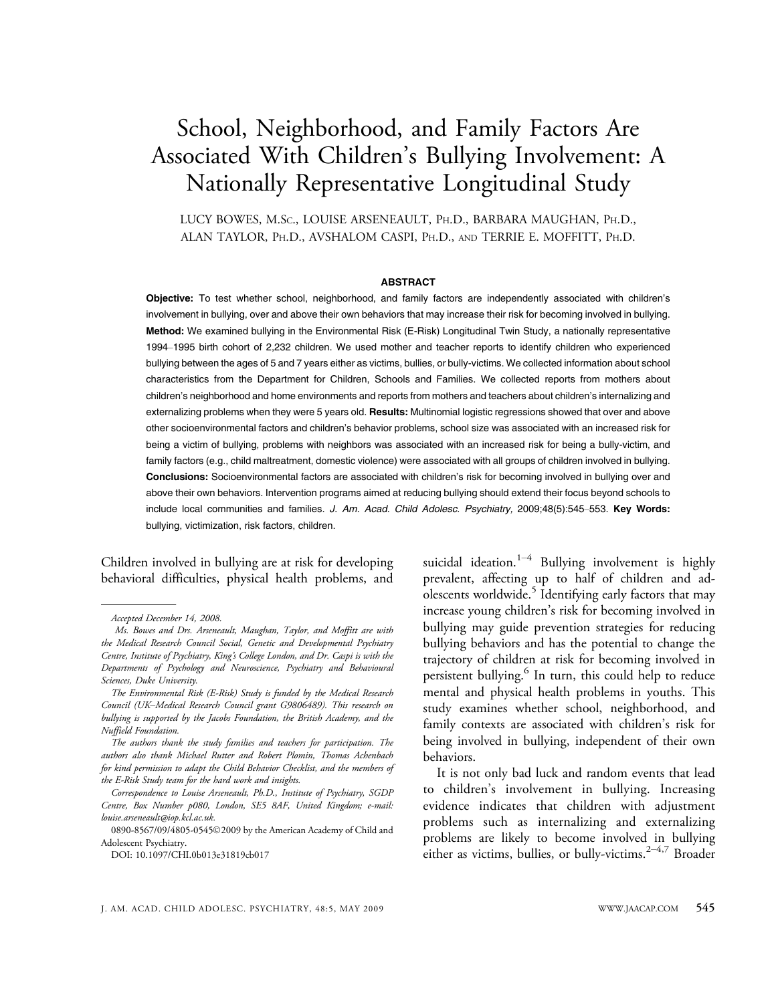# School, Neighborhood, and Family Factors Are Associated With Children's Bullying Involvement: A Nationally Representative Longitudinal Study

LUCY BOWES, M.SC., LOUISE ARSENEAULT, PH.D., BARBARA MAUGHAN, PH.D., ALAN TAYLOR, PH.D., AVSHALOM CASPI, PH.D., AND TERRIE E. MOFFITT, PH.D.

#### ABSTRACT

Objective: To test whether school, neighborhood, and family factors are independently associated with children's involvement in bullying, over and above their own behaviors that may increase their risk for becoming involved in bullying. Method: We examined bullying in the Environmental Risk (E-Risk) Longitudinal Twin Study, a nationally representative 1994-1995 birth cohort of 2,232 children. We used mother and teacher reports to identify children who experienced bullying between the ages of 5 and 7 years either as victims, bullies, or bully-victims. We collected information about school characteristics from the Department for Children, Schools and Families. We collected reports from mothers about children's neighborhood and home environments and reports from mothers and teachers about children's internalizing and externalizing problems when they were 5 years old. Results: Multinomial logistic regressions showed that over and above other socioenvironmental factors and children's behavior problems, school size was associated with an increased risk for being a victim of bullying, problems with neighbors was associated with an increased risk for being a bully-victim, and family factors (e.g., child maltreatment, domestic violence) were associated with all groups of children involved in bullying. Conclusions: Socioenvironmental factors are associated with children's risk for becoming involved in bullying over and above their own behaviors. Intervention programs aimed at reducing bullying should extend their focus beyond schools to include local communities and families. J. Am. Acad. Child Adolesc. Psychiatry, 2009;48(5):545-553. Key Words: bullying, victimization, risk factors, children.

Children involved in bullying are at risk for developing behavioral difficulties, physical health problems, and suicidal ideation.<sup>1-4</sup> Bullying involvement is highly prevalent, affecting up to half of children and adolescents worldwide. $5$  Identifying early factors that may increase young children's risk for becoming involved in bullying may guide prevention strategies for reducing bullying behaviors and has the potential to change the trajectory of children at risk for becoming involved in persistent bullying.<sup>6</sup> In turn, this could help to reduce mental and physical health problems in youths. This study examines whether school, neighborhood, and family contexts are associated with children's risk for being involved in bullying, independent of their own behaviors.

It is not only bad luck and random events that lead to children's involvement in bullying. Increasing evidence indicates that children with adjustment problems such as internalizing and externalizing problems are likely to become involved in bullying either as victims, bullies, or bully-victims. $2-4,7$  Broader

Accepted December 14, 2008.

Ms. Bowes and Drs. Arseneault, Maughan, Taylor, and Moffitt are with the Medical Research Council Social, Genetic and Developmental Psychiatry Centre, Institute of Psychiatry, King's College London, and Dr. Caspi is with the Departments of Psychology and Neuroscience, Psychiatry and Behavioural Sciences, Duke University.

The Environmental Risk (E-Risk) Study is funded by the Medical Research Council (UK-Medical Research Council grant G9806489). This research on bullying is supported by the Jacobs Foundation, the British Academy, and the Nuffield Foundation.

The authors thank the study families and teachers for participation. The authors also thank Michael Rutter and Robert Plomin, Thomas Achenbach for kind permission to adapt the Child Behavior Checklist, and the members of the E-Risk Study team for the hard work and insights.

Correspondence to Louise Arseneault, Ph.D., Institute of Psychiatry, SGDP Centre, Box Number p080, London, SE5 8AF, United Kingdom; e-mail: louise.arseneault@iop.kcl.ac.uk.

<sup>0890-8567/09/4805-0545©2009</sup> by the American Academy of Child and Adolescent Psychiatry.

DOI: 10.1097/CHI.0b013e31819cb017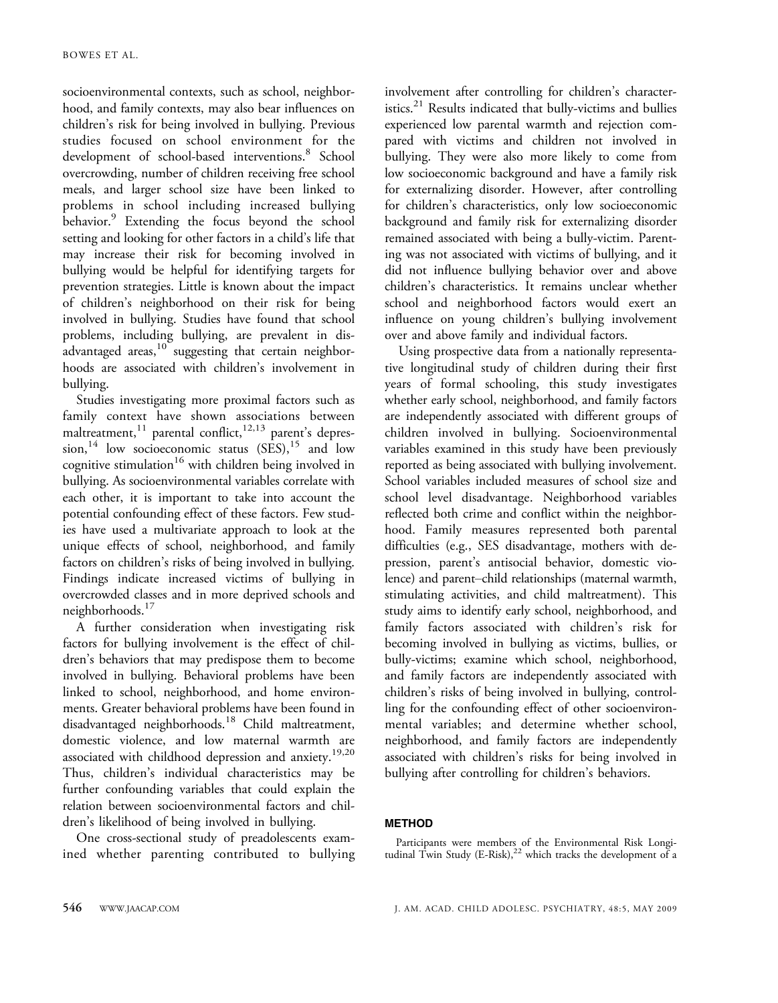socioenvironmental contexts, such as school, neighborhood, and family contexts, may also bear influences on children's risk for being involved in bullying. Previous studies focused on school environment for the development of school-based interventions.<sup>8</sup> School overcrowding, number of children receiving free school meals, and larger school size have been linked to problems in school including increased bullying behavior.<sup>9</sup> Extending the focus beyond the school setting and looking for other factors in a child's life that may increase their risk for becoming involved in bullying would be helpful for identifying targets for prevention strategies. Little is known about the impact of children's neighborhood on their risk for being involved in bullying. Studies have found that school problems, including bullying, are prevalent in dis- $\frac{1}{4}$  advantaged areas, $\frac{10}{4}$  suggesting that certain neighborhoods are associated with children's involvement in bullying.

Studies investigating more proximal factors such as family context have shown associations between maltreatment,<sup>11</sup> parental conflict,<sup>12,13</sup> parent's depression,<sup>14</sup> low socioeconomic status  $(SES)$ ,<sup>15</sup> and low cognitive stimulation<sup>16</sup> with children being involved in bullying. As socioenvironmental variables correlate with each other, it is important to take into account the potential confounding effect of these factors. Few studies have used a multivariate approach to look at the unique effects of school, neighborhood, and family factors on children's risks of being involved in bullying. Findings indicate increased victims of bullying in overcrowded classes and in more deprived schools and neighborhoods.17

A further consideration when investigating risk factors for bullying involvement is the effect of children's behaviors that may predispose them to become involved in bullying. Behavioral problems have been linked to school, neighborhood, and home environments. Greater behavioral problems have been found in disadvantaged neighborhoods.<sup>18</sup> Child maltreatment, domestic violence, and low maternal warmth are associated with childhood depression and anxiety.<sup>19,20</sup> Thus, children's individual characteristics may be further confounding variables that could explain the relation between socioenvironmental factors and children's likelihood of being involved in bullying.

One cross-sectional study of preadolescents examined whether parenting contributed to bullying involvement after controlling for children's characteristics.<sup>21</sup> Results indicated that bully-victims and bullies experienced low parental warmth and rejection compared with victims and children not involved in bullying. They were also more likely to come from low socioeconomic background and have a family risk for externalizing disorder. However, after controlling for children's characteristics, only low socioeconomic background and family risk for externalizing disorder remained associated with being a bully-victim. Parenting was not associated with victims of bullying, and it did not influence bullying behavior over and above children's characteristics. It remains unclear whether school and neighborhood factors would exert an influence on young children's bullying involvement over and above family and individual factors.

Using prospective data from a nationally representative longitudinal study of children during their first years of formal schooling, this study investigates whether early school, neighborhood, and family factors are independently associated with different groups of children involved in bullying. Socioenvironmental variables examined in this study have been previously reported as being associated with bullying involvement. School variables included measures of school size and school level disadvantage. Neighborhood variables reflected both crime and conflict within the neighborhood. Family measures represented both parental difficulties (e.g., SES disadvantage, mothers with depression, parent's antisocial behavior, domestic violence) and parent-child relationships (maternal warmth, stimulating activities, and child maltreatment). This study aims to identify early school, neighborhood, and family factors associated with children's risk for becoming involved in bullying as victims, bullies, or bully-victims; examine which school, neighborhood, and family factors are independently associated with children's risks of being involved in bullying, controlling for the confounding effect of other socioenvironmental variables; and determine whether school, neighborhood, and family factors are independently associated with children's risks for being involved in bullying after controlling for children's behaviors.

# METHOD

Participants were members of the Environmental Risk Longitudinal Twin Study (E-Risk),<sup>22</sup> which tracks the development of a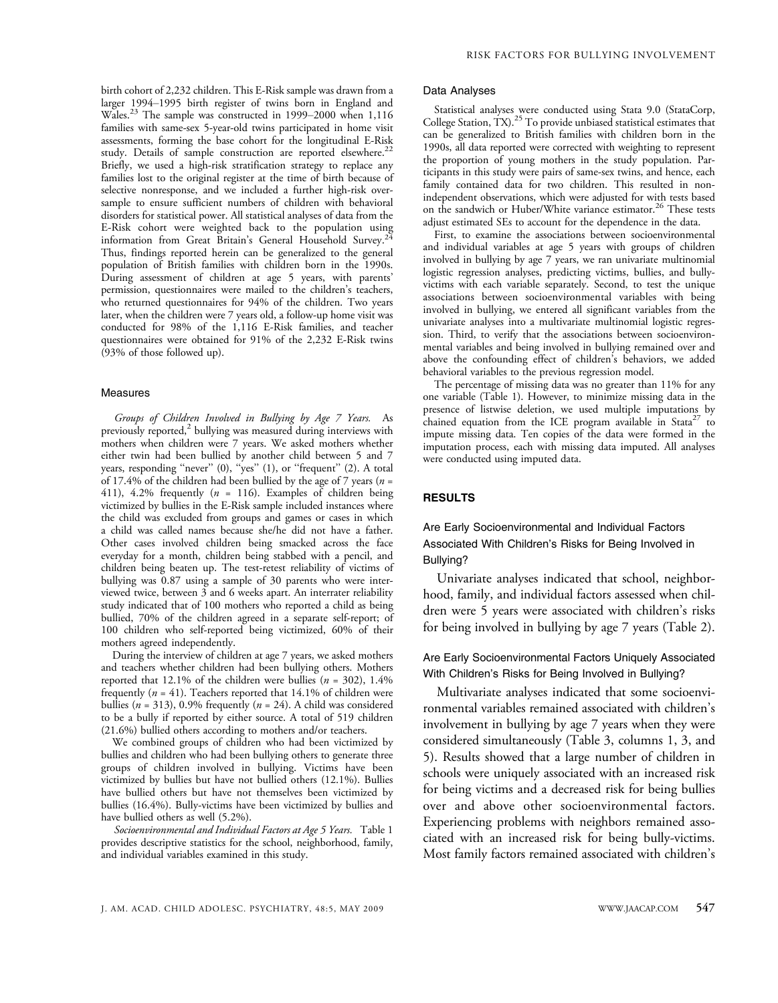birth cohort of 2,232 children. This E-Risk sample was drawn from a larger 1994-1995 birth register of twins born in England and Wales.<sup>23</sup> The sample was constructed in 1999-2000 when  $1,116$ families with same-sex 5-year-old twins participated in home visit assessments, forming the base cohort for the longitudinal E-Risk study. Details of sample construction are reported elsewhere.<sup>22</sup> Briefly, we used a high-risk stratification strategy to replace any families lost to the original register at the time of birth because of selective nonresponse, and we included a further high-risk oversample to ensure sufficient numbers of children with behavioral disorders for statistical power. All statistical analyses of data from the E-Risk cohort were weighted back to the population using information from Great Britain's General Household Survey.<sup>2</sup> Thus, findings reported herein can be generalized to the general population of British families with children born in the 1990s. During assessment of children at age 5 years, with parents' permission, questionnaires were mailed to the children's teachers, who returned questionnaires for 94% of the children. Two years later, when the children were 7 years old, a follow-up home visit was conducted for 98% of the 1,116 E-Risk families, and teacher questionnaires were obtained for 91% of the 2,232 E-Risk twins (93% of those followed up).

#### Measures

Groups of Children Involved in Bullying by Age 7 Years. As previously reported, $2$  bullying was measured during interviews with mothers when children were 7 years. We asked mothers whether either twin had been bullied by another child between 5 and 7 years, responding "never" (0), "yes" (1), or "frequent" (2). A total of 17.4% of the children had been bullied by the age of 7 years ( $n =$ 411), 4.2% frequently ( $n = 116$ ). Examples of children being victimized by bullies in the E-Risk sample included instances where the child was excluded from groups and games or cases in which a child was called names because she/he did not have a father. Other cases involved children being smacked across the face everyday for a month, children being stabbed with a pencil, and children being beaten up. The test-retest reliability of victims of bullying was 0.87 using a sample of 30 parents who were interviewed twice, between 3 and 6 weeks apart. An interrater reliability study indicated that of 100 mothers who reported a child as being bullied, 70% of the children agreed in a separate self-report; of 100 children who self-reported being victimized, 60% of their mothers agreed independently.

During the interview of children at age 7 years, we asked mothers and teachers whether children had been bullying others. Mothers reported that 12.1% of the children were bullies  $(n = 302)$ , 1.4% frequently ( $n = 41$ ). Teachers reported that 14.1% of children were bullies ( $n = 313$ ), 0.9% frequently ( $n = 24$ ). A child was considered to be a bully if reported by either source. A total of 519 children (21.6%) bullied others according to mothers and/or teachers.

We combined groups of children who had been victimized by bullies and children who had been bullying others to generate three groups of children involved in bullying. Victims have been victimized by bullies but have not bullied others (12.1%). Bullies have bullied others but have not themselves been victimized by bullies (16.4%). Bully-victims have been victimized by bullies and have bullied others as well (5.2%).

Socioenvironmental and Individual Factors at Age 5 Years. Table 1 provides descriptive statistics for the school, neighborhood, family, and individual variables examined in this study.

# Data Analyses

Statistical analyses were conducted using Stata 9.0 (StataCorp, College Station, TX).<sup>25</sup> To provide unbiased statistical estimates that can be generalized to British families with children born in the 1990s, all data reported were corrected with weighting to represent the proportion of young mothers in the study population. Participants in this study were pairs of same-sex twins, and hence, each family contained data for two children. This resulted in nonindependent observations, which were adjusted for with tests based on the sandwich or Huber/White variance estimator.<sup>26</sup> These tests adjust estimated SEs to account for the dependence in the data.

First, to examine the associations between socioenvironmental and individual variables at age 5 years with groups of children involved in bullying by age 7 years, we ran univariate multinomial logistic regression analyses, predicting victims, bullies, and bullyvictims with each variable separately. Second, to test the unique associations between socioenvironmental variables with being involved in bullying, we entered all significant variables from the univariate analyses into a multivariate multinomial logistic regression. Third, to verify that the associations between socioenvironmental variables and being involved in bullying remained over and above the confounding effect of children's behaviors, we added behavioral variables to the previous regression model.

The percentage of missing data was no greater than 11% for any one variable (Table 1). However, to minimize missing data in the presence of listwise deletion, we used multiple imputations by chained equation from the ICE program available in Stata<sup>27</sup> to impute missing data. Ten copies of the data were formed in the imputation process, each with missing data imputed. All analyses were conducted using imputed data.

#### RESULTS

# Are Early Socioenvironmental and Individual Factors Associated With Children's Risks for Being Involved in Bullying?

Univariate analyses indicated that school, neighborhood, family, and individual factors assessed when children were 5 years were associated with children's risks for being involved in bullying by age 7 years (Table 2).

# Are Early Socioenvironmental Factors Uniquely Associated With Children's Risks for Being Involved in Bullying?

Multivariate analyses indicated that some socioenvironmental variables remained associated with children's involvement in bullying by age 7 years when they were considered simultaneously (Table 3, columns 1, 3, and 5). Results showed that a large number of children in schools were uniquely associated with an increased risk for being victims and a decreased risk for being bullies over and above other socioenvironmental factors. Experiencing problems with neighbors remained associated with an increased risk for being bully-victims. Most family factors remained associated with children's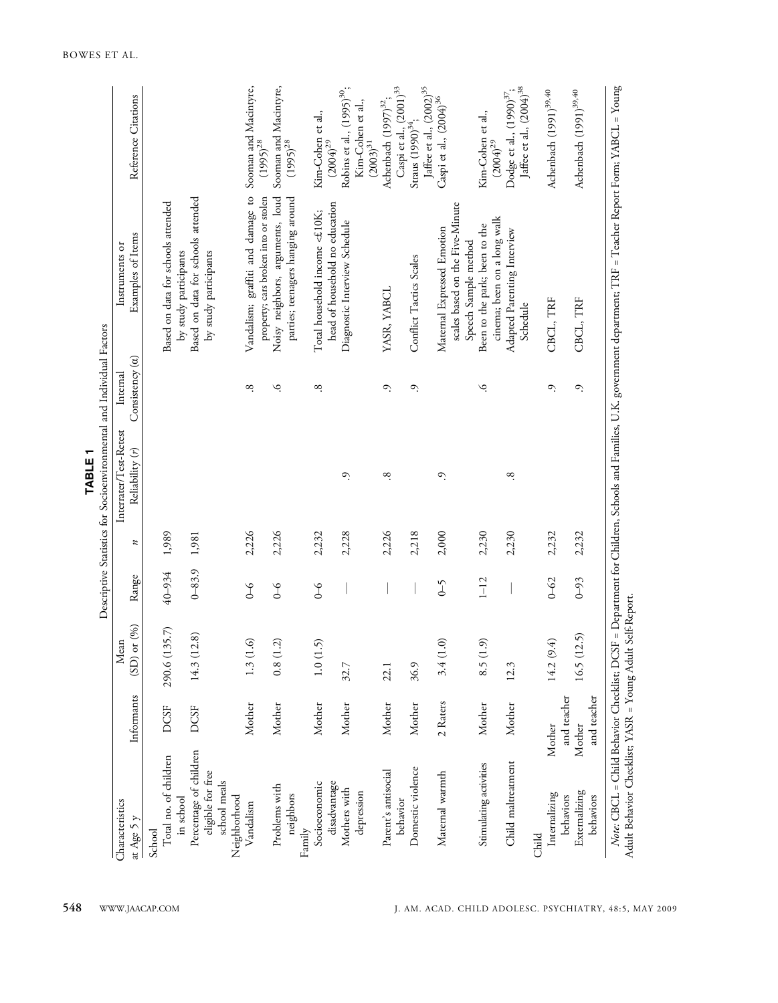|                                                                                                          |                       |                         |            |                  | Descriptive Statistics for Socioenvironmental and Individual Factors |                             |                                                                                                                      |                                                                                       |
|----------------------------------------------------------------------------------------------------------|-----------------------|-------------------------|------------|------------------|----------------------------------------------------------------------|-----------------------------|----------------------------------------------------------------------------------------------------------------------|---------------------------------------------------------------------------------------|
| Characteristics<br>at Age 5 y                                                                            | Informants            | (96)<br>Mean<br>(SD) or | Range      | $\boldsymbol{z}$ | Interrater/Test-Retest<br>Reliability (r)                            | Consistency (a)<br>Internal | Examples of Items<br>Instruments or                                                                                  | Reference Citations                                                                   |
| School                                                                                                   |                       |                         |            |                  |                                                                      |                             |                                                                                                                      |                                                                                       |
| Total no. of children<br>in school                                                                       | <b>DCSF</b>           | 290.6 (135.7)           | 40-934     | 1,989            |                                                                      |                             | Based on data for schools attended<br>by study participants                                                          |                                                                                       |
| Percentage of children                                                                                   | <b>DCSF</b>           | 14.3 (12.8)             | $0 - 83.9$ | 1,981            |                                                                      |                             | Based on data for schools attended                                                                                   |                                                                                       |
| eligible for free<br>school meals                                                                        |                       |                         |            |                  |                                                                      |                             | by study participants                                                                                                |                                                                                       |
| Neighborhood                                                                                             |                       |                         |            |                  |                                                                      |                             |                                                                                                                      |                                                                                       |
| Vandalism                                                                                                | Mother                | 1.3(1.6)                | $\sqrt{6}$ | 2,226            |                                                                      | $\infty$                    | Vandalism; graffiti and damage to<br>property; cars broken into or stolen                                            | Sooman and Macintyre,<br>$(1995)^{28}$                                                |
| Problems with<br>neighbors                                                                               | Mother                | 0.8(1.2)                | $6 - 6$    | 2,226            |                                                                      | ي                           | Noisy neighbors, arguments, loud<br>parties; teenagers hanging around                                                | Sooman and Macintyre,<br>$(1995)^{28}$                                                |
| Family                                                                                                   |                       |                         |            |                  |                                                                      |                             |                                                                                                                      |                                                                                       |
| disadvantage<br>Socioeconomic                                                                            | Mother                | 1.0(1.5)                | $6 - 6$    | 2,232            |                                                                      | $\infty$                    | head of household no education<br>Total household income <£10K;                                                      | Kim-Cohen et al.,<br>$(2004)^{29}$                                                    |
| Mothers with<br>depression                                                                               | Mother                | 32.7                    |            | 2,228            | Ċ                                                                    |                             | Diagnostic Interview Schedule                                                                                        | Robins et al., (1995) <sup>30</sup> ;<br>Kim-Cohen et al.,                            |
| Parent's antisocial                                                                                      | Mother                | 22.1                    |            | 2,226            | $\infty$                                                             | 0                           | YASR, YABCL                                                                                                          | Achenbach $(1997)^{32}$ ;<br>$(2003)^{31}$                                            |
| behavior                                                                                                 |                       |                         |            |                  |                                                                      |                             |                                                                                                                      |                                                                                       |
| Domestic violence                                                                                        | Mother                | 36.9                    |            | 2,218            |                                                                      | C)                          | Conflict Tactics Scales                                                                                              | Caspi et al., $(2001)^{33}$<br>Straus $(1990)^{34}$ ;<br>Jaffee et al., $(2002)^{35}$ |
| Maternal warmth                                                                                          | 2 Raters              | 3.4(1.0)                | $6 - 5$    | 2,000            | 0,                                                                   |                             | scales based on the Five-Minute<br>Maternal Expressed Emotion                                                        | Caspi et al., $(2004)^{36}$                                                           |
|                                                                                                          | Mother                | 8.5(1.9)                | $1 - 12$   | 2,230            |                                                                      | 9.                          | Speech Sample method                                                                                                 | Kim-Cohen et al.,                                                                     |
| Stimulating activities                                                                                   |                       |                         |            |                  |                                                                      |                             | cinema; been on a long walk<br>Been to the park; been to the                                                         | $(2004)^{29}$                                                                         |
| Child maltreatment                                                                                       | Mother                | 12.3                    |            | 2,230            | œ.                                                                   |                             | Adapted Parenting Interview<br>Schedule                                                                              | Jaffee et al., $(2004)^{38}$<br>Dodge et al., $(1990)^{37}$ ;                         |
| Child                                                                                                    |                       |                         |            |                  |                                                                      |                             |                                                                                                                      |                                                                                       |
| Internalizing<br>behaviors                                                                               | and teacher<br>Mother | 14.2(9.4)               | $0 - 62$   | 2,232            |                                                                      | Ċ                           | CBCL, TRF                                                                                                            | Achenbach (1991) <sup>39,40</sup>                                                     |
| Externalizing<br>behaviors                                                                               | and teacher<br>Mother | 16.5(12.5)              | $0 - 93$   | 2,232            |                                                                      | Ċ                           | CBCL, TRF                                                                                                            | Achenbach (1991) <sup>39,40</sup>                                                     |
| Adult Behavior Checklist; YASR = Young Adult Self-Report.<br>Note: CBCL = Child Behavior Checklist; DCSF |                       |                         |            |                  |                                                                      |                             | = Deparment for Children, Schools and Families, U.K. government department; TRF = Teacher Report Form; YABCL = Young |                                                                                       |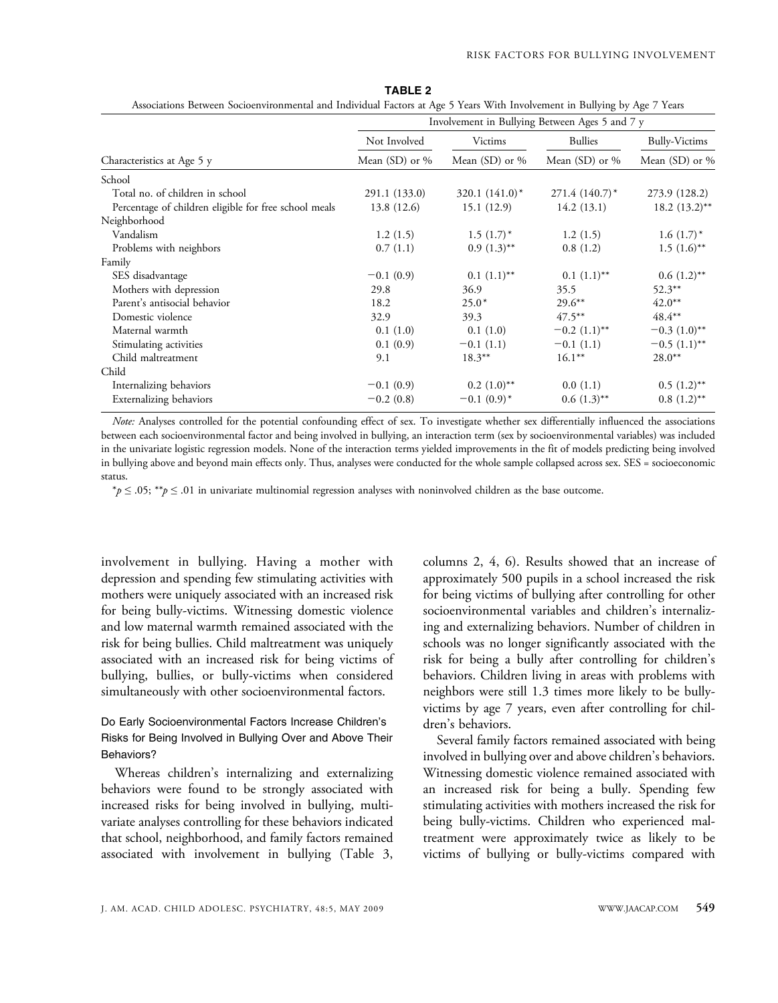|                                                       | Involvement in Bullying Between Ages 5 and 7 y |                   |                  |                      |  |  |
|-------------------------------------------------------|------------------------------------------------|-------------------|------------------|----------------------|--|--|
|                                                       | Not Involved                                   | Victims           | <b>Bullies</b>   | <b>Bully-Victims</b> |  |  |
| Characteristics at Age 5 y                            | Mean $(SD)$ or %                               | Mean $(SD)$ or %  | Mean $(SD)$ or % | Mean $(SD)$ or %     |  |  |
| School                                                |                                                |                   |                  |                      |  |  |
| Total no. of children in school                       | 291.1 (133.0)                                  | $320.1 (141.0)^*$ | $271.4(140.7)^*$ | 273.9 (128.2)        |  |  |
| Percentage of children eligible for free school meals | 13.8 (12.6)                                    | 15.1(12.9)        | 14.2(13.1)       | $18.2 (13.2)$ **     |  |  |
| Neighborhood                                          |                                                |                   |                  |                      |  |  |
| Vandalism                                             | 1.2(1.5)                                       | $1.5(1.7)^*$      | 1.2(1.5)         | $1.6(1.7)^*$         |  |  |
| Problems with neighbors                               | 0.7(1.1)                                       | $0.9(1.3)$ **     | 0.8(1.2)         | $1.5(1.6)$ **        |  |  |
| Family                                                |                                                |                   |                  |                      |  |  |
| SES disadvantage                                      | $-0.1(0.9)$                                    | $0.1(1.1)$ **     | $0.1(1.1)$ **    | $0.6(1.2)$ **        |  |  |
| Mothers with depression                               | 29.8                                           | 36.9              | 35.5             | $52.3***$            |  |  |
| Parent's antisocial behavior                          | 18.2                                           | $25.0*$           | $29.6**$         | $42.0**$             |  |  |
| Domestic violence                                     | 32.9                                           | 39.3              | $47.5***$        | 48.4**               |  |  |
| Maternal warmth                                       | 0.1(1.0)                                       | 0.1(1.0)          | $-0.2$ (1.1)**   | $-0.3(1.0)$ **       |  |  |
| Stimulating activities                                | 0.1(0.9)                                       | $-0.1(1.1)$       | $-0.1(1.1)$      | $-0.5(1.1)$ **       |  |  |
| Child maltreatment                                    | 9.1                                            | $18.3***$         | $16.1***$        | $28.0**$             |  |  |
| Child                                                 |                                                |                   |                  |                      |  |  |
| Internalizing behaviors                               | $-0.1(0.9)$                                    | $0.2(1.0)$ **     | 0.0(1.1)         | $0.5(1.2)$ **        |  |  |
| Externalizing behaviors                               | $-0.2(0.8)$                                    | $-0.1(0.9)$ *     | $0.6(1.3)$ **    | $0.8(1.2)$ **        |  |  |

TABLE 2 Associations Between Socioenvironmental and Individual Factors at Age 5 Years With Involvement in Bullying by Age 7 Years

Note: Analyses controlled for the potential confounding effect of sex. To investigate whether sex differentially influenced the associations between each socioenvironmental factor and being involved in bullying, an interaction term (sex by socioenvironmental variables) was included in the univariate logistic regression models. None of the interaction terms yielded improvements in the fit of models predicting being involved in bullying above and beyond main effects only. Thus, analyses were conducted for the whole sample collapsed across sex. SES = socioeconomic status.

 $*\rho \leq .05$ ;  $*\rho \leq .01$  in univariate multinomial regression analyses with noninvolved children as the base outcome.

involvement in bullying. Having a mother with depression and spending few stimulating activities with mothers were uniquely associated with an increased risk for being bully-victims. Witnessing domestic violence and low maternal warmth remained associated with the risk for being bullies. Child maltreatment was uniquely associated with an increased risk for being victims of bullying, bullies, or bully-victims when considered simultaneously with other socioenvironmental factors.

# Do Early Socioenvironmental Factors Increase Children's Risks for Being Involved in Bullying Over and Above Their Behaviors?

Whereas children's internalizing and externalizing behaviors were found to be strongly associated with increased risks for being involved in bullying, multivariate analyses controlling for these behaviors indicated that school, neighborhood, and family factors remained associated with involvement in bullying (Table 3, columns 2, 4, 6). Results showed that an increase of approximately 500 pupils in a school increased the risk for being victims of bullying after controlling for other socioenvironmental variables and children's internalizing and externalizing behaviors. Number of children in schools was no longer significantly associated with the risk for being a bully after controlling for children's behaviors. Children living in areas with problems with neighbors were still 1.3 times more likely to be bullyvictims by age 7 years, even after controlling for children's behaviors.

Several family factors remained associated with being involved in bullying over and above children's behaviors. Witnessing domestic violence remained associated with an increased risk for being a bully. Spending few stimulating activities with mothers increased the risk for being bully-victims. Children who experienced maltreatment were approximately twice as likely to be victims of bullying or bully-victims compared with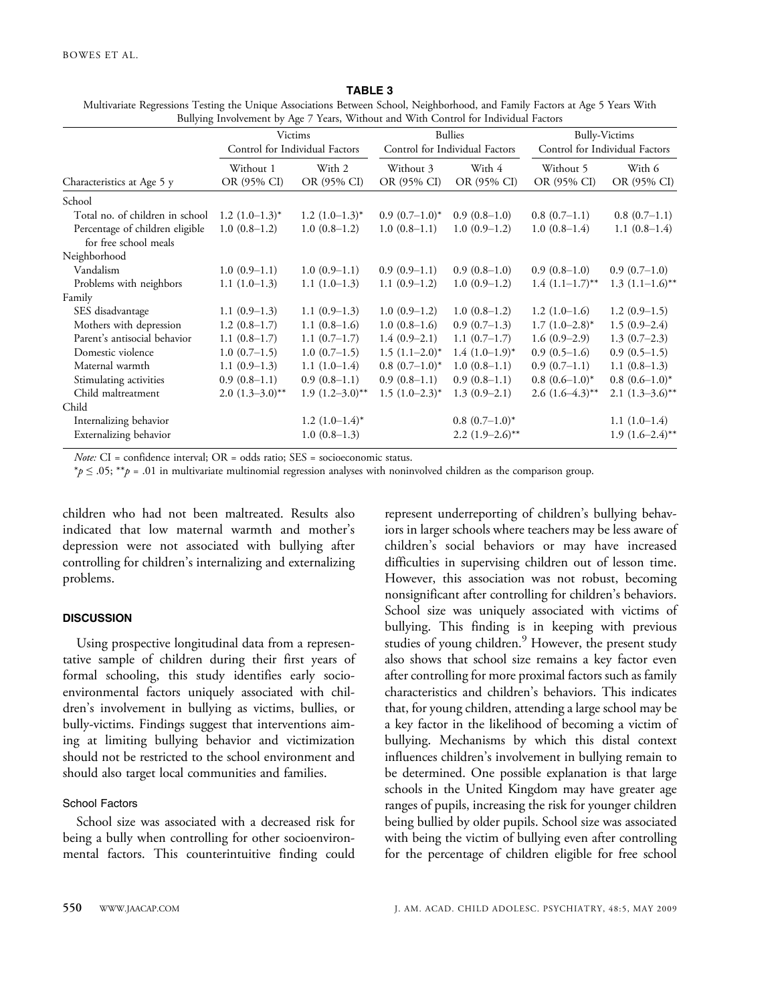# TABLE 3

| Multivariate Regressions Testing the Unique Associations Between School, Neighborhood, and Family Factors at Age 5 Years With |  |  |
|-------------------------------------------------------------------------------------------------------------------------------|--|--|
| Bullying Involvement by Age 7 Years, Without and With Control for Individual Factors                                          |  |  |

|                                                          |                          | Victims<br>Control for Individual Factors |                          | <b>Bullies</b><br>Control for Individual Factors |                          | <b>Bully-Victims</b><br>Control for Individual Factors |
|----------------------------------------------------------|--------------------------|-------------------------------------------|--------------------------|--------------------------------------------------|--------------------------|--------------------------------------------------------|
| Characteristics at Age 5 y                               | Without 1<br>OR (95% CI) | With 2<br>OR (95% CI)                     | Without 3<br>OR (95% CI) | With 4<br>OR (95% CI)                            | Without 5<br>OR (95% CI) | With 6<br>OR (95% CI)                                  |
| School                                                   |                          |                                           |                          |                                                  |                          |                                                        |
| Total no. of children in school                          | $1.2 (1.0-1.3)^*$        | $1.2 (1.0-1.3)^*$                         | $0.9(0.7-1.0)^*$         | $0.9(0.8-1.0)$                                   | $0.8(0.7-1.1)$           | $0.8(0.7-1.1)$                                         |
| Percentage of children eligible<br>for free school meals | $1.0(0.8-1.2)$           | $1.0(0.8-1.2)$                            | $1.0(0.8-1.1)$           | $1.0(0.9-1.2)$                                   | $1.0(0.8-1.4)$           | $1.1(0.8-1.4)$                                         |
| Neighborhood                                             |                          |                                           |                          |                                                  |                          |                                                        |
| Vandalism                                                | $1.0(0.9-1.1)$           | $1.0(0.9-1.1)$                            | $0.9(0.9-1.1)$           | $0.9(0.8-1.0)$                                   | $0.9(0.8-1.0)$           | $0.9(0.7-1.0)$                                         |
| Problems with neighbors                                  | $1.1(1.0-1.3)$           | $1.1(1.0-1.3)$                            | $1.1(0.9-1.2)$           | $1.0(0.9-1.2)$                                   | $1.4(1.1-1.7)$ **        | $1.3(1.1-1.6)$ **                                      |
| Family                                                   |                          |                                           |                          |                                                  |                          |                                                        |
| SES disadvantage                                         | $1.1(0.9-1.3)$           | $1.1(0.9-1.3)$                            | $1.0(0.9-1.2)$           | $1.0(0.8-1.2)$                                   | $1.2(1.0-1.6)$           | $1.2(0.9-1.5)$                                         |
| Mothers with depression                                  | $1.2(0.8-1.7)$           | $1.1(0.8-1.6)$                            | $1.0(0.8-1.6)$           | $0.9(0.7-1.3)$                                   | $1.7(1.0-2.8)^{*}$       | $1.5(0.9-2.4)$                                         |
| Parent's antisocial behavior                             | $1.1(0.8-1.7)$           | $1.1(0.7-1.7)$                            | $1.4(0.9-2.1)$           | $1.1(0.7-1.7)$                                   | $1.6(0.9-2.9)$           | $1.3(0.7-2.3)$                                         |
| Domestic violence                                        | $1.0(0.7-1.5)$           | $1.0(0.7-1.5)$                            | $1.5(1.1-2.0)^{*}$       | $1.4 (1.0-1.9)^*$                                | $0.9(0.5-1.6)$           | $0.9(0.5-1.5)$                                         |
| Maternal warmth                                          | $1.1(0.9-1.3)$           | $1.1(1.0-1.4)$                            | $0.8(0.7-1.0)^*$         | $1.0(0.8-1.1)$                                   | $0.9(0.7-1.1)$           | $1.1(0.8-1.3)$                                         |
| Stimulating activities                                   | $0.9(0.8-1.1)$           | $0.9(0.8-1.1)$                            | $0.9(0.8-1.1)$           | $0.9(0.8-1.1)$                                   | $0.8(0.6-1.0)^*$         | $0.8(0.6-1.0)^{*}$                                     |
| Child maltreatment                                       | $2.0 (1.3 - 3.0)$ **     | $1.9(1.2-3.0)$ **                         | $1.5(1.0-2.3)^{*}$       | $1.3(0.9-2.1)$                                   | $2.6(1.6-4.3)$ **        | $2.1 (1.3 - 3.6)$ **                                   |
| Child                                                    |                          |                                           |                          |                                                  |                          |                                                        |
| Internalizing behavior                                   |                          | $1.2(1.0-1.4)^*$                          |                          | $0.8(0.7-1.0)^*$                                 |                          | $1.1(1.0-1.4)$                                         |
| Externalizing behavior                                   |                          | $1.0(0.8-1.3)$                            |                          | $2.2 (1.9 - 2.6)$ **                             |                          | $1.9(1.6-2.4)$ **                                      |

Note: CI = confidence interval; OR = odds ratio; SES = socioeconomic status.

 $*_p \leq .05$ ;  $*_p = .01$  in multivariate multinomial regression analyses with noninvolved children as the comparison group.

children who had not been maltreated. Results also indicated that low maternal warmth and mother's depression were not associated with bullying after controlling for children's internalizing and externalizing problems.

#### **DISCUSSION**

Using prospective longitudinal data from a representative sample of children during their first years of formal schooling, this study identifies early socioenvironmental factors uniquely associated with children's involvement in bullying as victims, bullies, or bully-victims. Findings suggest that interventions aiming at limiting bullying behavior and victimization should not be restricted to the school environment and should also target local communities and families.

# School Factors

School size was associated with a decreased risk for being a bully when controlling for other socioenvironmental factors. This counterintuitive finding could

represent underreporting of children's bullying behaviors in larger schools where teachers may be less aware of children's social behaviors or may have increased difficulties in supervising children out of lesson time. However, this association was not robust, becoming nonsignificant after controlling for children's behaviors. School size was uniquely associated with victims of bullying. This finding is in keeping with previous studies of young children.<sup>9</sup> However, the present study also shows that school size remains a key factor even after controlling for more proximal factors such as family characteristics and children's behaviors. This indicates that, for young children, attending a large school may be a key factor in the likelihood of becoming a victim of bullying. Mechanisms by which this distal context influences children's involvement in bullying remain to be determined. One possible explanation is that large schools in the United Kingdom may have greater age ranges of pupils, increasing the risk for younger children being bullied by older pupils. School size was associated with being the victim of bullying even after controlling for the percentage of children eligible for free school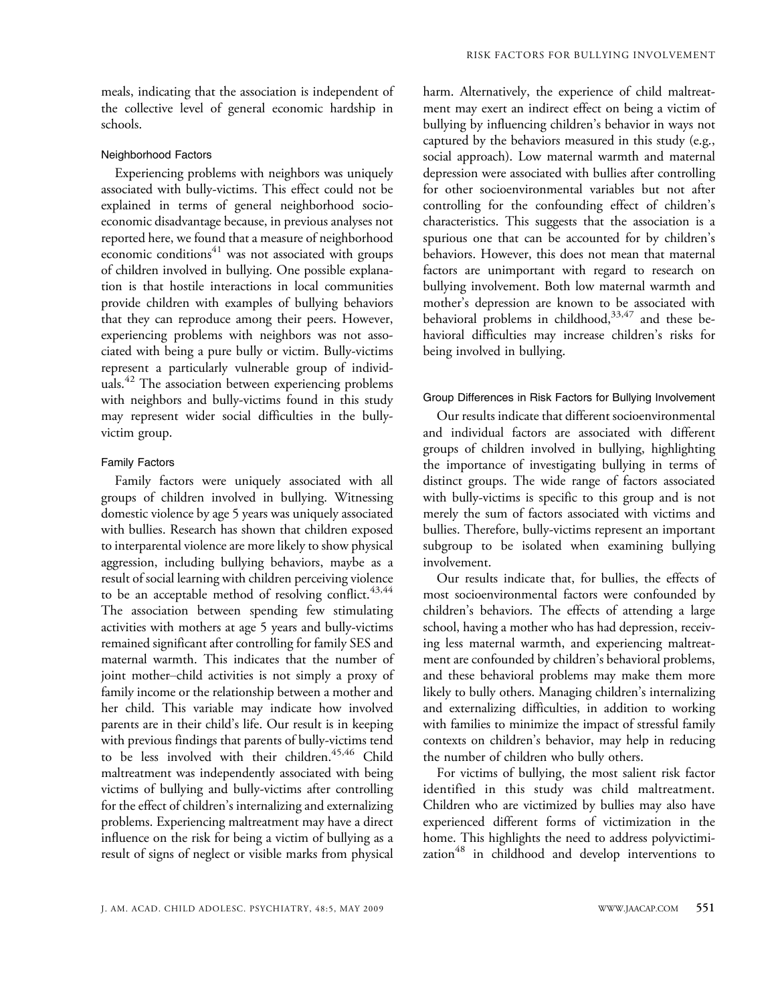meals, indicating that the association is independent of the collective level of general economic hardship in schools.

## Neighborhood Factors

Experiencing problems with neighbors was uniquely associated with bully-victims. This effect could not be explained in terms of general neighborhood socioeconomic disadvantage because, in previous analyses not reported here, we found that a measure of neighborhood economic conditions $41$  was not associated with groups of children involved in bullying. One possible explanation is that hostile interactions in local communities provide children with examples of bullying behaviors that they can reproduce among their peers. However, experiencing problems with neighbors was not associated with being a pure bully or victim. Bully-victims represent a particularly vulnerable group of individuals.<sup>42</sup> The association between experiencing problems with neighbors and bully-victims found in this study may represent wider social difficulties in the bullyvictim group.

## Family Factors

Family factors were uniquely associated with all groups of children involved in bullying. Witnessing domestic violence by age 5 years was uniquely associated with bullies. Research has shown that children exposed to interparental violence are more likely to show physical aggression, including bullying behaviors, maybe as a result of social learning with children perceiving violence to be an acceptable method of resolving conflict. $43,44$ The association between spending few stimulating activities with mothers at age 5 years and bully-victims remained significant after controlling for family SES and maternal warmth. This indicates that the number of joint mother-child activities is not simply a proxy of family income or the relationship between a mother and her child. This variable may indicate how involved parents are in their child's life. Our result is in keeping with previous findings that parents of bully-victims tend to be less involved with their children.<sup>45,46</sup> Child maltreatment was independently associated with being victims of bullying and bully-victims after controlling for the effect of children's internalizing and externalizing problems. Experiencing maltreatment may have a direct influence on the risk for being a victim of bullying as a result of signs of neglect or visible marks from physical

harm. Alternatively, the experience of child maltreatment may exert an indirect effect on being a victim of bullying by influencing children's behavior in ways not captured by the behaviors measured in this study (e.g., social approach). Low maternal warmth and maternal depression were associated with bullies after controlling for other socioenvironmental variables but not after controlling for the confounding effect of children's characteristics. This suggests that the association is a spurious one that can be accounted for by children's behaviors. However, this does not mean that maternal factors are unimportant with regard to research on bullying involvement. Both low maternal warmth and mother's depression are known to be associated with behavioral problems in childhood,  $33,47$  and these behavioral difficulties may increase children's risks for being involved in bullying.

## Group Differences in Risk Factors for Bullying Involvement

Our results indicate that different socioenvironmental and individual factors are associated with different groups of children involved in bullying, highlighting the importance of investigating bullying in terms of distinct groups. The wide range of factors associated with bully-victims is specific to this group and is not merely the sum of factors associated with victims and bullies. Therefore, bully-victims represent an important subgroup to be isolated when examining bullying involvement.

Our results indicate that, for bullies, the effects of most socioenvironmental factors were confounded by children's behaviors. The effects of attending a large school, having a mother who has had depression, receiving less maternal warmth, and experiencing maltreatment are confounded by children's behavioral problems, and these behavioral problems may make them more likely to bully others. Managing children's internalizing and externalizing difficulties, in addition to working with families to minimize the impact of stressful family contexts on children's behavior, may help in reducing the number of children who bully others.

For victims of bullying, the most salient risk factor identified in this study was child maltreatment. Children who are victimized by bullies may also have experienced different forms of victimization in the home. This highlights the need to address polyvictimization<sup>48</sup> in childhood and develop interventions to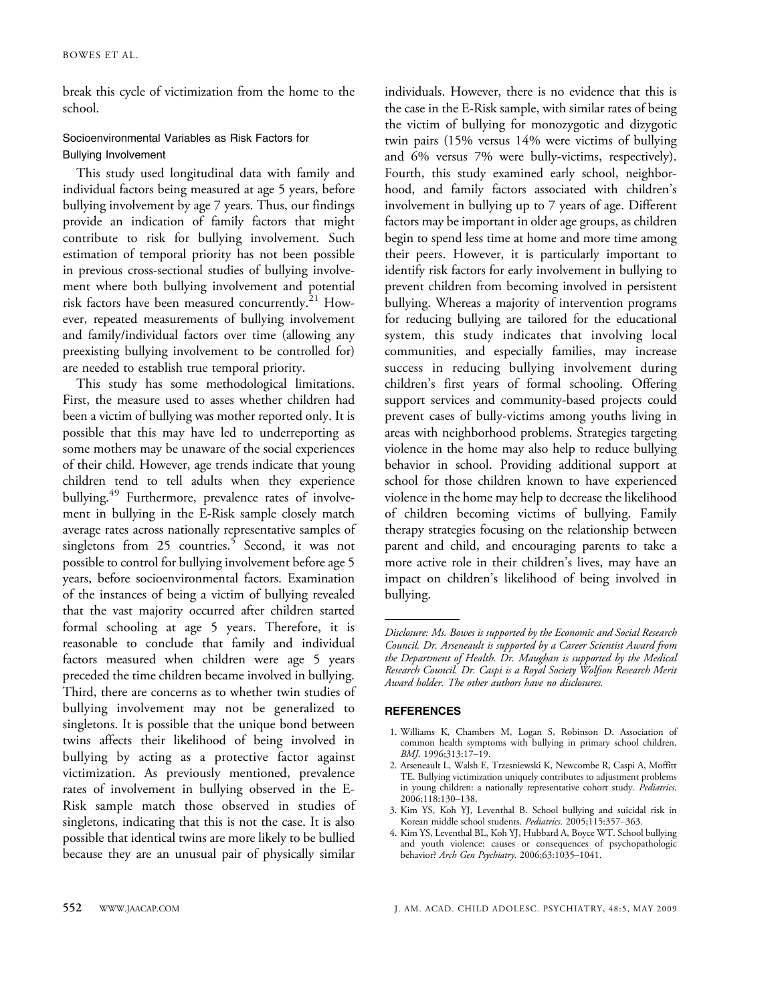break this cycle of victimization from the home to the school.

# Socioenvironmental Variables as Risk Factors for Bullying Involvement

This study used longitudinal data with family and individual factors being measured at age 5 years, before bullying involvement by age 7 years. Thus, our findings provide an indication of family factors that might contribute to risk for bullying involvement. Such estimation of temporal priority has not been possible in previous cross-sectional studies of bullying involvement where both bullying involvement and potential risk factors have been measured concurrently.<sup>21</sup> However, repeated measurements of bullying involvement and family/individual factors over time (allowing any preexisting bullying involvement to be controlled for) are needed to establish true temporal priority.

This study has some methodological limitations. First, the measure used to asses whether children had been a victim of bullying was mother reported only. It is possible that this may have led to underreporting as some mothers may be unaware of the social experiences of their child. However, age trends indicate that young children tend to tell adults when they experience bullying.<sup>49</sup> Furthermore, prevalence rates of involvement in bullying in the E-Risk sample closely match average rates across nationally representative samples of singletons from  $25$  countries.<sup>5</sup> Second, it was not possible to control for bullying involvement before age 5 years, before socioenvironmental factors. Examination of the instances of being a victim of bullying revealed that the vast majority occurred after children started formal schooling at age 5 years. Therefore, it is reasonable to conclude that family and individual factors measured when children were age 5 years preceded the time children became involved in bullying. Third, there are concerns as to whether twin studies of bullying involvement may not be generalized to singletons. It is possible that the unique bond between twins affects their likelihood of being involved in bullying by acting as a protective factor against victimization. As previously mentioned, prevalence rates of involvement in bullying observed in the E-Risk sample match those observed in studies of singletons, indicating that this is not the case. It is also possible that identical twins are more likely to be bullied because they are an unusual pair of physically similar

individuals. However, there is no evidence that this is the case in the E-Risk sample, with similar rates of being the victim of bullying for monozygotic and dizygotic twin pairs (15% versus 14% were victims of bullying and 6% versus 7% were bully-victims, respectively). Fourth, this study examined early school, neighborhood, and family factors associated with children's involvement in bullying up to 7 years of age. Different factors may be important in older age groups, as children begin to spend less time at home and more time among their peers. However, it is particularly important to identify risk factors for early involvement in bullying to prevent children from becoming involved in persistent bullying. Whereas a majority of intervention programs for reducing bullying are tailored for the educational system, this study indicates that involving local communities, and especially families, may increase success in reducing bullying involvement during children's first years of formal schooling. Offering support services and community-based projects could prevent cases of bully-victims among youths living in areas with neighborhood problems. Strategies targeting violence in the home may also help to reduce bullying behavior in school. Providing additional support at school for those children known to have experienced violence in the home may help to decrease the likelihood of children becoming victims of bullying. Family therapy strategies focusing on the relationship between parent and child, and encouraging parents to take a more active role in their children's lives, may have an impact on children's likelihood of being involved in bullying.

## **REFERENCES**

Disclosure: Ms. Bowes is supported by the Economic and Social Research Council. Dr. Arseneault is supported by a Career Scientist Award from the Department of Health.  $\dot{D}$ r. Maughan is supported by the Medical Research Council. Dr. Caspi is a Royal Society Wolfson Research Merit Award holder. The other authors have no disclosures.

<sup>1.</sup> Williams K, Chambers M, Logan S, Robinson D. Association of common health symptoms with bullying in primary school children. BMJ. 1996;313:17-19.

<sup>2.</sup> Arseneault L, Walsh E, Trzesniewski K, Newcombe R, Caspi A, Moffitt TE. Bullying victimization uniquely contributes to adjustment problems in young children: a nationally representative cohort study. Pediatrics. 2006;118:130-138.

<sup>3.</sup> Kim YS, Koh YJ, Leventhal B. School bullying and suicidal risk in Korean middle school students. Pediatrics. 2005;115:357-363.

<sup>4.</sup> Kim YS, Leventhal BL, Koh YJ, Hubbard A, Boyce WT. School bullying and youth violence: causes or consequences of psychopathologic behavior? Arch Gen Psychiatry. 2006;63:1035-1041.